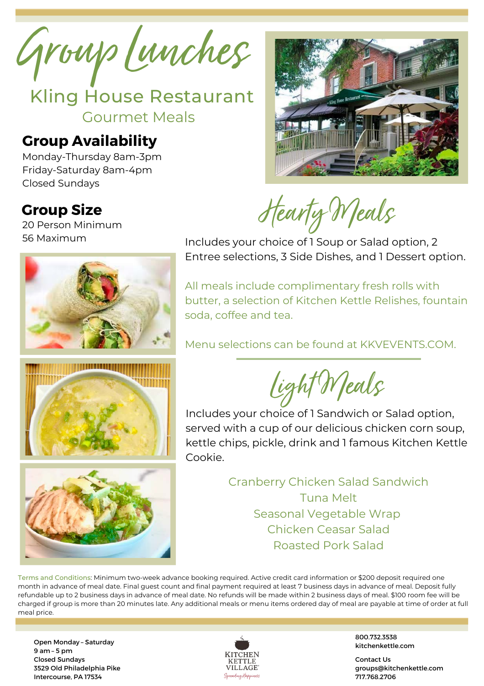Group Lunches

Kling House Restaurant Gourmet Meals

## **Group Availability**

Monday-Thursday 8am-3pm Friday-Saturday 8am-4pm Closed Sundays



Hearty Meals

**Group Size** 20 Person Minimum 56 Maximum



Includes your choice of 1 Soup or Salad option, 2 Entree selections, 3 Side Dishes, and 1 Dessert option.

All meals include complimentary fresh rolls with butter, a selection of Kitchen Kettle Relishes, fountain soda, coffee and tea.

Menu selections can be found at KKVEVENTS.COM.

Light Meals

Includes your choice of 1 Sandwich or Salad option, served with a cup of our delicious chicken corn soup, kettle chips, pickle, drink and 1 famous Kitchen Kettle Cookie.

> Cranberry Chicken Salad Sandwich Tuna Melt Seasonal Vegetable Wrap Chicken Ceasar Salad Roasted Pork Salad

Terms and Conditions: Minimum two-week advance booking required. Active credit card information or \$200 deposit required one month in advance of meal date. Final guest count and final payment required at least 7 business days in advance of meal. Deposit fully refundable up to 2 business days in advance of meal date. No refunds will be made within 2 business days of meal. \$100 room fee will be charged if group is more than 20 minutes late. Any additional meals or menu items ordered day of meal are payable at time of order at full meal price.

Open Monday – Saturday 9 am – 5 pm Closed Sundays 3529 Old Philadelphia Pike Intercourse, PA 17534



800.732.3538 kitchenkettle.com

Contact Us groups@kitchenkettle.com 717.768.2706